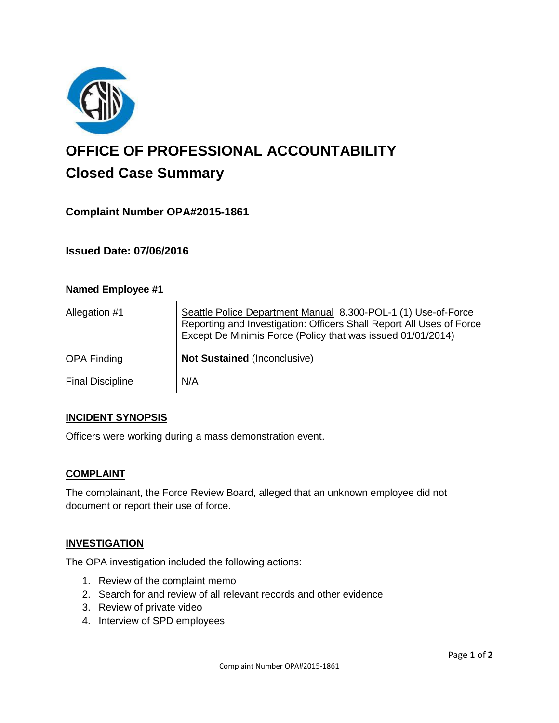

# **OFFICE OF PROFESSIONAL ACCOUNTABILITY Closed Case Summary**

# **Complaint Number OPA#2015-1861**

## **Issued Date: 07/06/2016**

| <b>Named Employee #1</b> |                                                                                                                                                                                                      |
|--------------------------|------------------------------------------------------------------------------------------------------------------------------------------------------------------------------------------------------|
| Allegation #1            | Seattle Police Department Manual 8.300-POL-1 (1) Use-of-Force<br>Reporting and Investigation: Officers Shall Report All Uses of Force<br>Except De Minimis Force (Policy that was issued 01/01/2014) |
| <b>OPA Finding</b>       | <b>Not Sustained (Inconclusive)</b>                                                                                                                                                                  |
| <b>Final Discipline</b>  | N/A                                                                                                                                                                                                  |

#### **INCIDENT SYNOPSIS**

Officers were working during a mass demonstration event.

#### **COMPLAINT**

The complainant, the Force Review Board, alleged that an unknown employee did not document or report their use of force.

#### **INVESTIGATION**

The OPA investigation included the following actions:

- 1. Review of the complaint memo
- 2. Search for and review of all relevant records and other evidence
- 3. Review of private video
- 4. Interview of SPD employees